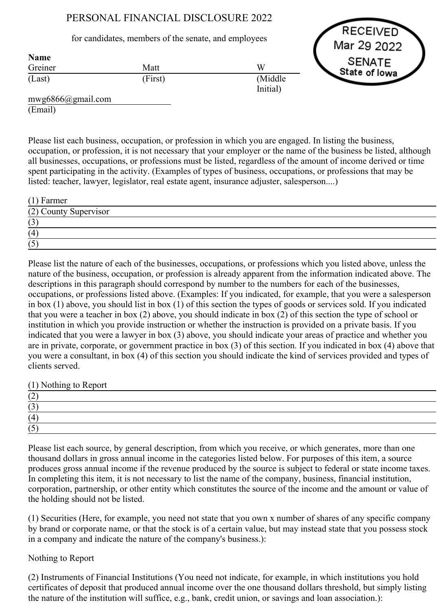# PERSONAL FINANCIAL DISCLOSURE 2022

## for candidates, members of the senate, and employees

RECEIVED Mar 29 2022 **SENATE** State of Iowa

|         | W                    |
|---------|----------------------|
| (First) | (Middle)<br>Initial) |
|         | Matt                 |

mwg6866@gmail.com (Email)

Name

Please list each business, occupation, or profession in which you are engaged. In listing the business, occupation, or profession, it is not necessary that your employer or the name of the business be listed, although all businesses, occupations, or professions must be listed, regardless of the amount of income derived or time spent participating in the activity. (Examples of types of business, occupations, or professions that may be listed: teacher, lawyer, legislator, real estate agent, insurance adjuster, salesperson....)

| $(1)$ Farmer          |  |
|-----------------------|--|
| (2) County Supervisor |  |
| (3)                   |  |
| (4)                   |  |
| (5)                   |  |

Please list the nature of each of the businesses, occupations, or professions which you listed above, unless the nature of the business, occupation, or profession is already apparent from the information indicated above. The descriptions in this paragraph should correspond by number to the numbers for each of the businesses, occupations, or professions listed above. (Examples: If you indicated, for example, that you were a salesperson in box (1) above, you should list in box (1) of this section the types of goods or services sold. If you indicated that you were a teacher in box (2) above, you should indicate in box (2) of this section the type of school or institution in which you provide instruction or whether the instruction is provided on a private basis. If you indicated that you were a lawyer in box (3) above, you should indicate your areas of practice and whether you are in private, corporate, or government practice in box (3) of this section. If you indicated in box (4) above that you were a consultant, in box (4) of this section you should indicate the kind of services provided and types of clients served.

(1) Nothing to Report

| ॱ∸                                    |  |  |
|---------------------------------------|--|--|
| $\sim$<br>' ~                         |  |  |
| 14                                    |  |  |
| $\rightarrow$<br>$\ddot{\phantom{0}}$ |  |  |

Please list each source, by general description, from which you receive, or which generates, more than one thousand dollars in gross annual income in the categories listed below. For purposes of this item, a source produces gross annual income if the revenue produced by the source is subject to federal or state income taxes. In completing this item, it is not necessary to list the name of the company, business, financial institution, corporation, partnership, or other entity which constitutes the source of the income and the amount or value of the holding should not be listed.

(1) Securities (Here, for example, you need not state that you own x number of shares of any specific company by brand or corporate name, or that the stock is of a certain value, but may instead state that you possess stock in a company and indicate the nature of the company's business.):

# Nothing to Report

(2) Instruments of Financial Institutions (You need not indicate, for example, in which institutions you hold certificates of deposit that produced annual income over the one thousand dollars threshold, but simply listing the nature of the institution will suffice, e.g., bank, credit union, or savings and loan association.):